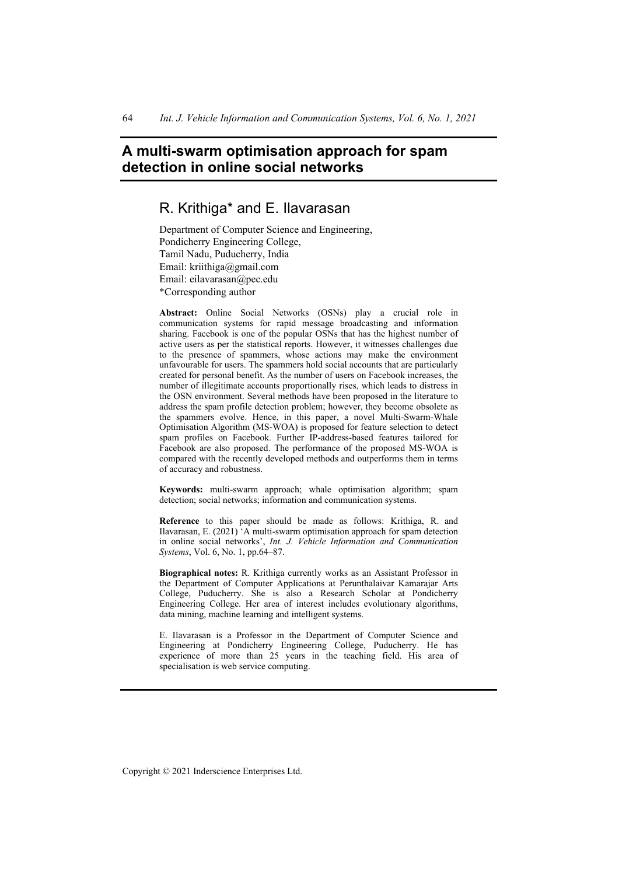# **A multi-swarm optimisation approach for spam detection in online social networks**

# R. Krithiga\* and E. Ilavarasan

Department of Computer Science and Engineering, Pondicherry Engineering College, Tamil Nadu, Puducherry, India Email: kriithiga@gmail.com Email: eilavarasan@pec.edu \*Corresponding author

**Abstract:** Online Social Networks (OSNs) play a crucial role in communication systems for rapid message broadcasting and information sharing. Facebook is one of the popular OSNs that has the highest number of active users as per the statistical reports. However, it witnesses challenges due to the presence of spammers, whose actions may make the environment unfavourable for users. The spammers hold social accounts that are particularly created for personal benefit. As the number of users on Facebook increases, the number of illegitimate accounts proportionally rises, which leads to distress in the OSN environment. Several methods have been proposed in the literature to address the spam profile detection problem; however, they become obsolete as the spammers evolve. Hence, in this paper, a novel Multi-Swarm-Whale Optimisation Algorithm (MS-WOA) is proposed for feature selection to detect spam profiles on Facebook. Further IP-address-based features tailored for Facebook are also proposed. The performance of the proposed MS-WOA is compared with the recently developed methods and outperforms them in terms of accuracy and robustness.

**Keywords:** multi-swarm approach; whale optimisation algorithm; spam detection; social networks; information and communication systems.

**Reference** to this paper should be made as follows: Krithiga, R. and Ilavarasan, E. (2021) 'A multi-swarm optimisation approach for spam detection in online social networks', *Int. J. Vehicle Information and Communication Systems*, Vol. 6, No. 1, pp.64–87.

**Biographical notes:** R. Krithiga currently works as an Assistant Professor in the Department of Computer Applications at Perunthalaivar Kamarajar Arts College, Puducherry. She is also a Research Scholar at Pondicherry Engineering College. Her area of interest includes evolutionary algorithms, data mining, machine learning and intelligent systems.

E. Ilavarasan is a Professor in the Department of Computer Science and Engineering at Pondicherry Engineering College, Puducherry. He has experience of more than 25 years in the teaching field. His area of specialisation is web service computing.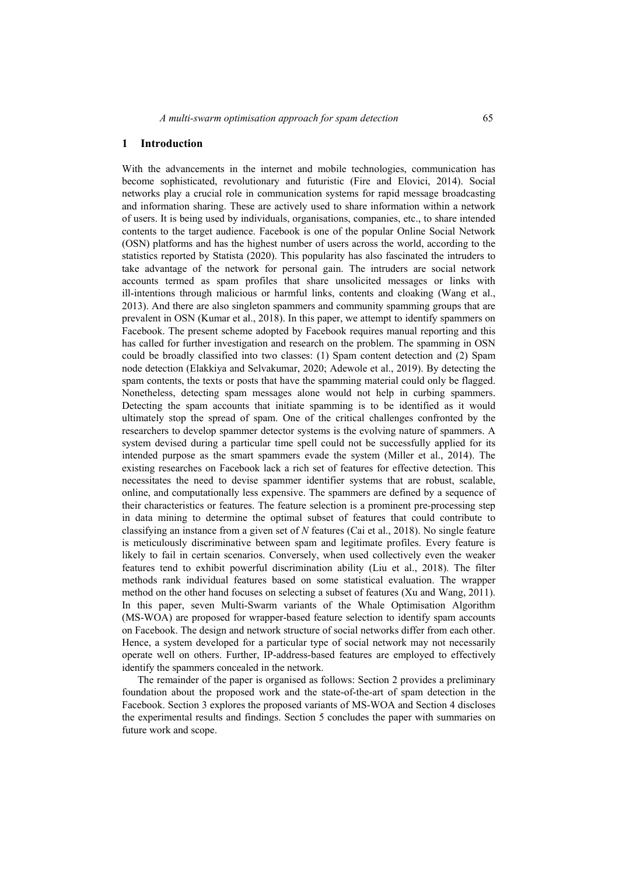#### **1 Introduction**

With the advancements in the internet and mobile technologies, communication has become sophisticated, revolutionary and futuristic (Fire and Elovici, 2014). Social networks play a crucial role in communication systems for rapid message broadcasting and information sharing. These are actively used to share information within a network of users. It is being used by individuals, organisations, companies, etc., to share intended contents to the target audience. Facebook is one of the popular Online Social Network (OSN) platforms and has the highest number of users across the world, according to the statistics reported by Statista (2020). This popularity has also fascinated the intruders to take advantage of the network for personal gain. The intruders are social network accounts termed as spam profiles that share unsolicited messages or links with ill-intentions through malicious or harmful links, contents and cloaking (Wang et al., 2013). And there are also singleton spammers and community spamming groups that are prevalent in OSN (Kumar et al., 2018). In this paper, we attempt to identify spammers on Facebook. The present scheme adopted by Facebook requires manual reporting and this has called for further investigation and research on the problem. The spamming in OSN could be broadly classified into two classes: (1) Spam content detection and (2) Spam node detection (Elakkiya and Selvakumar, 2020; Adewole et al., 2019). By detecting the spam contents, the texts or posts that have the spamming material could only be flagged. Nonetheless, detecting spam messages alone would not help in curbing spammers. Detecting the spam accounts that initiate spamming is to be identified as it would ultimately stop the spread of spam. One of the critical challenges confronted by the researchers to develop spammer detector systems is the evolving nature of spammers. A system devised during a particular time spell could not be successfully applied for its intended purpose as the smart spammers evade the system (Miller et al., 2014). The existing researches on Facebook lack a rich set of features for effective detection. This necessitates the need to devise spammer identifier systems that are robust, scalable, online, and computationally less expensive. The spammers are defined by a sequence of their characteristics or features. The feature selection is a prominent pre-processing step in data mining to determine the optimal subset of features that could contribute to classifying an instance from a given set of *N* features (Cai et al., 2018). No single feature is meticulously discriminative between spam and legitimate profiles. Every feature is likely to fail in certain scenarios. Conversely, when used collectively even the weaker features tend to exhibit powerful discrimination ability (Liu et al., 2018). The filter methods rank individual features based on some statistical evaluation. The wrapper method on the other hand focuses on selecting a subset of features (Xu and Wang, 2011). In this paper, seven Multi-Swarm variants of the Whale Optimisation Algorithm (MS-WOA) are proposed for wrapper-based feature selection to identify spam accounts on Facebook. The design and network structure of social networks differ from each other. Hence, a system developed for a particular type of social network may not necessarily operate well on others. Further, IP-address-based features are employed to effectively identify the spammers concealed in the network.

The remainder of the paper is organised as follows: Section 2 provides a preliminary foundation about the proposed work and the state-of-the-art of spam detection in the Facebook. Section 3 explores the proposed variants of MS-WOA and Section 4 discloses the experimental results and findings. Section 5 concludes the paper with summaries on future work and scope.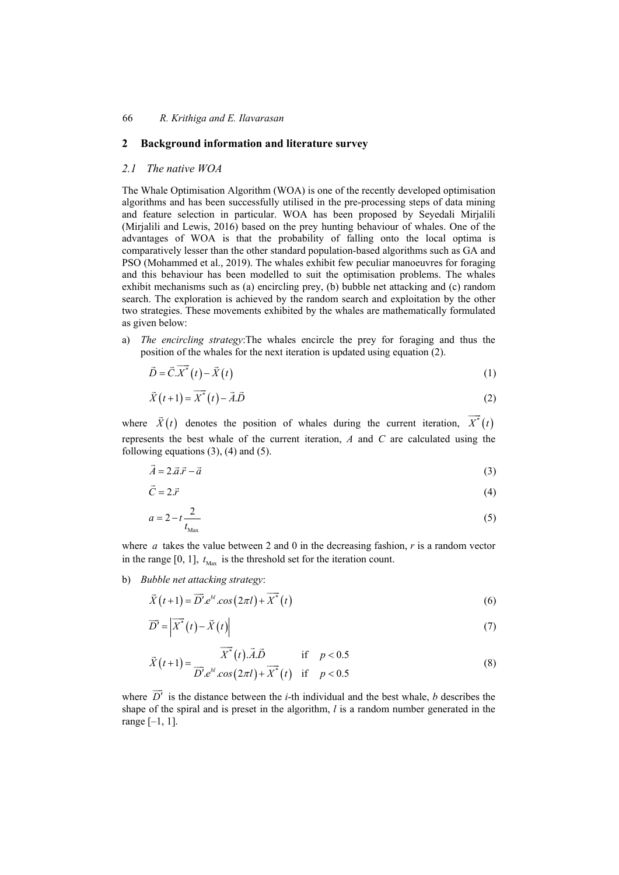### **2 Background information and literature survey**

## *2.1 The native WOA*

The Whale Optimisation Algorithm (WOA) is one of the recently developed optimisation algorithms and has been successfully utilised in the pre-processing steps of data mining and feature selection in particular. WOA has been proposed by Seyedali Mirjalili (Mirjalili and Lewis, 2016) based on the prey hunting behaviour of whales. One of the advantages of WOA is that the probability of falling onto the local optima is comparatively lesser than the other standard population-based algorithms such as GA and PSO (Mohammed et al., 2019). The whales exhibit few peculiar manoeuvres for foraging and this behaviour has been modelled to suit the optimisation problems. The whales exhibit mechanisms such as (a) encircling prey, (b) bubble net attacking and (c) random search. The exploration is achieved by the random search and exploitation by the other two strategies. These movements exhibited by the whales are mathematically formulated as given below:

a) *The encircling strategy*:The whales encircle the prey for foraging and thus the position of the whales for the next iteration is updated using equation (2).

$$
\vec{D} = \vec{C} \cdot \overrightarrow{X}^*(t) - \vec{X}(t) \tag{1}
$$

$$
\vec{X}(t+1) = \vec{X}^*(t) - \vec{A}.\vec{D}
$$
 (2)

where  $\vec{X}(t)$  denotes the position of whales during the current iteration,  $\vec{X}(t)$ represents the best whale of the current iteration, *A* and *C* are calculated using the following equations  $(3)$ ,  $(4)$  and  $(5)$ .

$$
\vec{A} = 2.\vec{a}.\vec{r} - \vec{a} \tag{3}
$$

$$
\vec{C} = 2.\vec{r} \tag{4}
$$

$$
a = 2 - t \frac{2}{t_{\text{Max}}} \tag{5}
$$

where *a* takes the value between 2 and 0 in the decreasing fashion, *r* is a random vector in the range [0, 1],  $t_{\text{Max}}$  is the threshold set for the iteration count.

b) *Bubble net attacking strategy*:

$$
\vec{X}(t+1) = \vec{D}' \cdot e^{bt} \cdot \cos(2\pi t) + \vec{X}^*(t)
$$
\n
$$
(6)
$$

$$
\overrightarrow{D'} = \left| \overrightarrow{X}^*(t) - \overrightarrow{X}(t) \right| \tag{7}
$$

$$
\overrightarrow{X}(t+1) = \frac{\overrightarrow{X}^*(t)\cdot \overrightarrow{A}\cdot \overrightarrow{D}}{\overrightarrow{D}'\cdot e^{bt}\cdot \cos(2\pi t) + \overrightarrow{X}^*(t)} \quad \text{if} \quad p < 0.5 \tag{8}
$$

where  $\overrightarrow{D}$  is the distance between the *i*-th individual and the best whale, *b* describes the shape of the spiral and is preset in the algorithm, *l* is a random number generated in the range [–1, 1].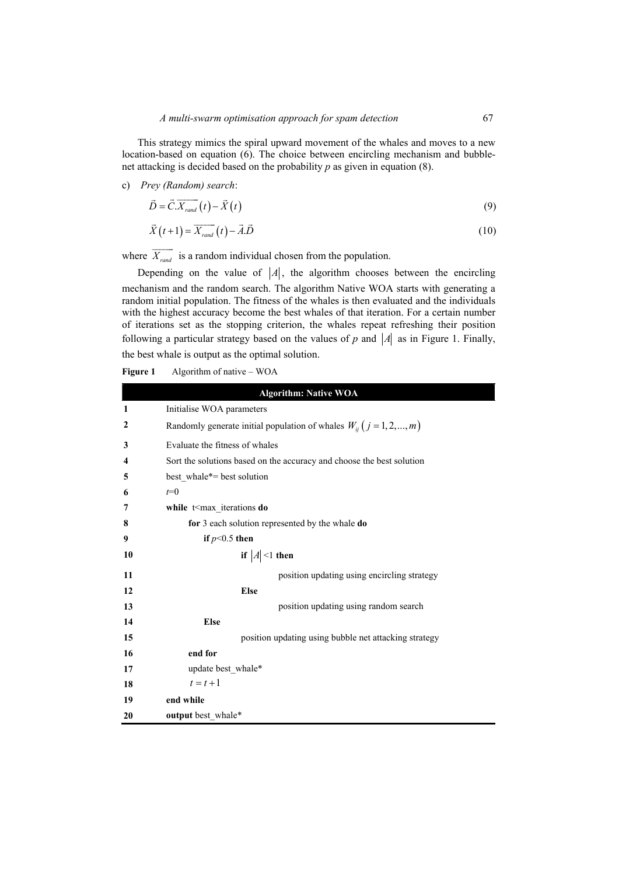This strategy mimics the spiral upward movement of the whales and moves to a new location-based on equation (6). The choice between encircling mechanism and bubblenet attacking is decided based on the probability *p* as given in equation (8).

#### c) *Prey (Random) search*:

$$
\vec{D} = \vec{C} \cdot \overline{X_{rand}}(t) - \vec{X}(t)
$$
\n(9)

$$
\vec{X}(t+1) = \vec{X}_{rand}(t) - \vec{A}.\vec{D}
$$
\n(10)

where  $\overrightarrow{X_{rand}}$  is a random individual chosen from the population.

Depending on the value of  $|A|$ , the algorithm chooses between the encircling mechanism and the random search. The algorithm Native WOA starts with generating a random initial population. The fitness of the whales is then evaluated and the individuals with the highest accuracy become the best whales of that iteration. For a certain number of iterations set as the stopping criterion, the whales repeat refreshing their position following a particular strategy based on the values of  $p$  and  $|A|$  as in Figure 1. Finally, the best whale is output as the optimal solution.

**Figure 1** Algorithm of native – WOA

|    | <b>Algorithm: Native WOA</b>                                              |
|----|---------------------------------------------------------------------------|
| 1  | Initialise WOA parameters                                                 |
| 2  | Randomly generate initial population of whales $W_{ij}$ $(j = 1, 2, , m)$ |
| 3  | Evaluate the fitness of whales                                            |
| 4  | Sort the solutions based on the accuracy and choose the best solution     |
| 5  | best whale*= best solution                                                |
| 6  | $t=0$                                                                     |
| 7  | while t <max do<="" iterations="" th=""></max>                            |
| 8  | for 3 each solution represented by the whale do                           |
| 9  | if $p<0.5$ then                                                           |
| 10 | if $ A $ <1 then                                                          |
| 11 | position updating using encircling strategy                               |
| 12 | <b>Else</b>                                                               |
| 13 | position updating using random search                                     |
| 14 | <b>Else</b>                                                               |
| 15 | position updating using bubble net attacking strategy                     |
| 16 | end for                                                                   |
| 17 | update best whale*                                                        |
| 18 | $t=t+1$                                                                   |
| 19 | end while                                                                 |
| 20 | output best whale*                                                        |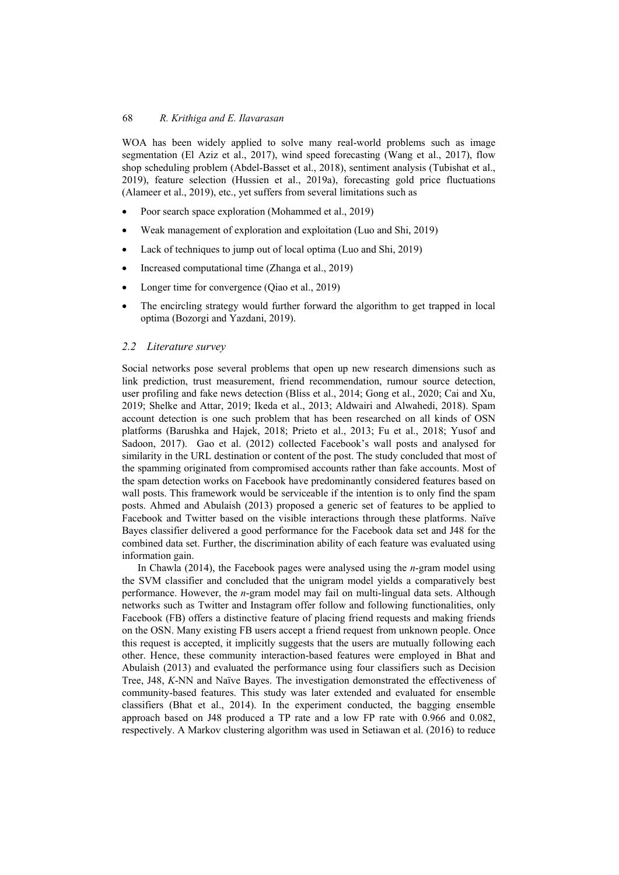WOA has been widely applied to solve many real-world problems such as image segmentation (El Aziz et al., 2017), wind speed forecasting (Wang et al., 2017), flow shop scheduling problem (Abdel-Basset et al., 2018), sentiment analysis (Tubishat et al., 2019), feature selection (Hussien et al., 2019a), forecasting gold price fluctuations (Alameer et al., 2019), etc., yet suffers from several limitations such as

- Poor search space exploration (Mohammed et al., 2019)
- Weak management of exploration and exploitation (Luo and Shi, 2019)
- Lack of techniques to jump out of local optima (Luo and Shi, 2019)
- Increased computational time (Zhanga et al., 2019)
- Longer time for convergence (Qiao et al., 2019)
- The encircling strategy would further forward the algorithm to get trapped in local optima (Bozorgi and Yazdani, 2019).

## *2.2 Literature survey*

Social networks pose several problems that open up new research dimensions such as link prediction, trust measurement, friend recommendation, rumour source detection, user profiling and fake news detection (Bliss et al., 2014; Gong et al., 2020; Cai and Xu, 2019; Shelke and Attar, 2019; Ikeda et al., 2013; Aldwairi and Alwahedi, 2018). Spam account detection is one such problem that has been researched on all kinds of OSN platforms (Barushka and Hajek, 2018; Prieto et al., 2013; Fu et al., 2018; Yusof and Sadoon, 2017). Gao et al. (2012) collected Facebook's wall posts and analysed for similarity in the URL destination or content of the post. The study concluded that most of the spamming originated from compromised accounts rather than fake accounts. Most of the spam detection works on Facebook have predominantly considered features based on wall posts. This framework would be serviceable if the intention is to only find the spam posts. Ahmed and Abulaish (2013) proposed a generic set of features to be applied to Facebook and Twitter based on the visible interactions through these platforms. Naïve Bayes classifier delivered a good performance for the Facebook data set and J48 for the combined data set. Further, the discrimination ability of each feature was evaluated using information gain.

In Chawla (2014), the Facebook pages were analysed using the *n*-gram model using the SVM classifier and concluded that the unigram model yields a comparatively best performance. However, the *n*-gram model may fail on multi-lingual data sets. Although networks such as Twitter and Instagram offer follow and following functionalities, only Facebook (FB) offers a distinctive feature of placing friend requests and making friends on the OSN. Many existing FB users accept a friend request from unknown people. Once this request is accepted, it implicitly suggests that the users are mutually following each other. Hence, these community interaction-based features were employed in Bhat and Abulaish (2013) and evaluated the performance using four classifiers such as Decision Tree, J48, *K*-NN and Naïve Bayes. The investigation demonstrated the effectiveness of community-based features. This study was later extended and evaluated for ensemble classifiers (Bhat et al., 2014). In the experiment conducted, the bagging ensemble approach based on J48 produced a TP rate and a low FP rate with 0.966 and 0.082, respectively. A Markov clustering algorithm was used in Setiawan et al. (2016) to reduce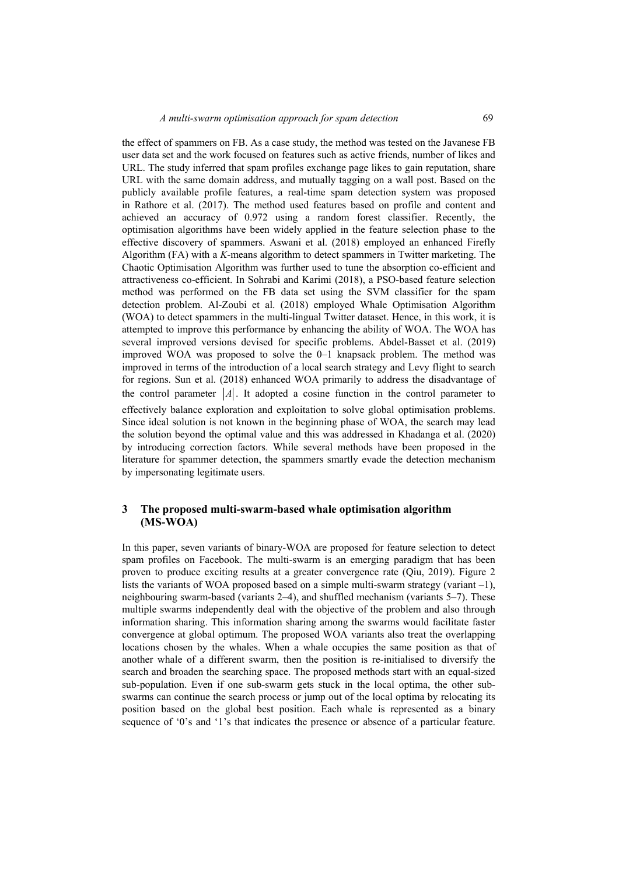the effect of spammers on FB. As a case study, the method was tested on the Javanese FB user data set and the work focused on features such as active friends, number of likes and URL. The study inferred that spam profiles exchange page likes to gain reputation, share URL with the same domain address, and mutually tagging on a wall post. Based on the publicly available profile features, a real-time spam detection system was proposed in Rathore et al. (2017). The method used features based on profile and content and achieved an accuracy of 0.972 using a random forest classifier. Recently, the optimisation algorithms have been widely applied in the feature selection phase to the effective discovery of spammers. Aswani et al. (2018) employed an enhanced Firefly Algorithm (FA) with a *K*-means algorithm to detect spammers in Twitter marketing. The Chaotic Optimisation Algorithm was further used to tune the absorption co-efficient and attractiveness co-efficient. In Sohrabi and Karimi (2018), a PSO-based feature selection method was performed on the FB data set using the SVM classifier for the spam detection problem. Al-Zoubi et al. (2018) employed Whale Optimisation Algorithm (WOA) to detect spammers in the multi-lingual Twitter dataset. Hence, in this work, it is attempted to improve this performance by enhancing the ability of WOA. The WOA has several improved versions devised for specific problems. Abdel-Basset et al. (2019) improved WOA was proposed to solve the 0–1 knapsack problem. The method was improved in terms of the introduction of a local search strategy and Levy flight to search for regions. Sun et al. (2018) enhanced WOA primarily to address the disadvantage of the control parameter  $|A|$ . It adopted a cosine function in the control parameter to effectively balance exploration and exploitation to solve global optimisation problems. Since ideal solution is not known in the beginning phase of WOA, the search may lead the solution beyond the optimal value and this was addressed in Khadanga et al. (2020) by introducing correction factors. While several methods have been proposed in the literature for spammer detection, the spammers smartly evade the detection mechanism by impersonating legitimate users.

## **3 The proposed multi-swarm-based whale optimisation algorithm (MS-WOA)**

In this paper, seven variants of binary-WOA are proposed for feature selection to detect spam profiles on Facebook. The multi-swarm is an emerging paradigm that has been proven to produce exciting results at a greater convergence rate (Qiu, 2019). Figure 2 lists the variants of WOA proposed based on a simple multi-swarm strategy (variant  $-1$ ), neighbouring swarm-based (variants 2–4), and shuffled mechanism (variants 5–7). These multiple swarms independently deal with the objective of the problem and also through information sharing. This information sharing among the swarms would facilitate faster convergence at global optimum. The proposed WOA variants also treat the overlapping locations chosen by the whales. When a whale occupies the same position as that of another whale of a different swarm, then the position is re-initialised to diversify the search and broaden the searching space. The proposed methods start with an equal-sized sub-population. Even if one sub-swarm gets stuck in the local optima, the other subswarms can continue the search process or jump out of the local optima by relocating its position based on the global best position. Each whale is represented as a binary sequence of '0's and '1's that indicates the presence or absence of a particular feature.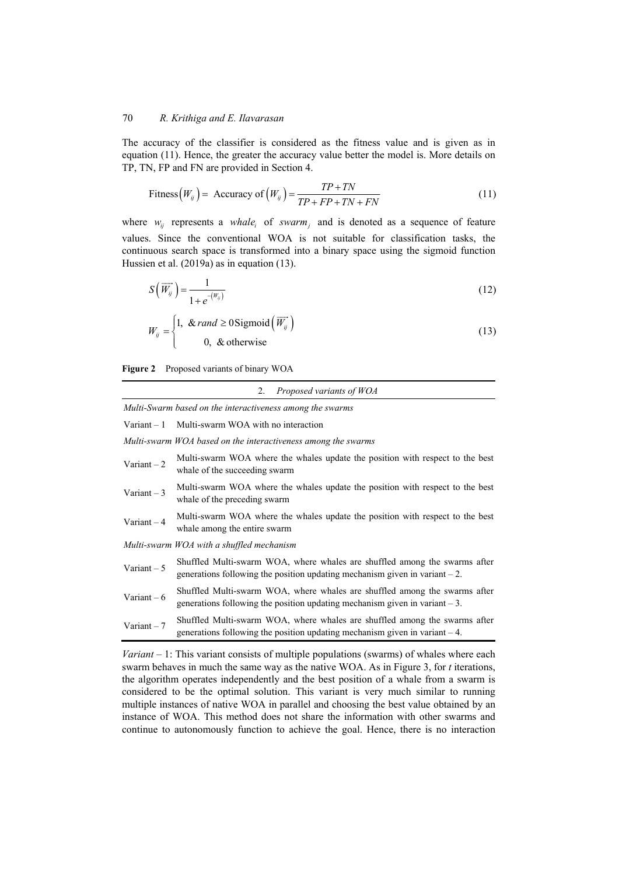The accuracy of the classifier is considered as the fitness value and is given as in equation (11). Hence, the greater the accuracy value better the model is. More details on TP, TN, FP and FN are provided in Section 4.

$$
\text{Fitness}\left(W_{ij}\right) = \text{Accuracy of}\left(W_{ij}\right) = \frac{TP + TN}{TP + FP + TN + FN} \tag{11}
$$

where  $w_{ij}$  represents a *whale<sub>i</sub>* of *swarm<sub>i</sub>* and is denoted as a sequence of feature values. Since the conventional WOA is not suitable for classification tasks, the continuous search space is transformed into a binary space using the sigmoid function Hussien et al. (2019a) as in equation (13).

$$
S\left(\overrightarrow{W_{ij}}\right) = \frac{1}{1 + e^{-(W_{ij})}}
$$
\n(12)

$$
W_{ij} = \begin{cases} 1, & \text{for } i \ge 0\\ 8, & \text{otherwise} \end{cases} \tag{13}
$$

**Figure 2** Proposed variants of binary WOA

|  | ۷. | Proposed variants of WOA |  |  |
|--|----|--------------------------|--|--|
|--|----|--------------------------|--|--|

*Multi-Swarm based on the interactiveness among the swarms* 

Variant – 1 Multi-swarm WOA with no interaction

*Multi-swarm WOA based on the interactiveness among the swarms* 

| Variant $-2$ | Multi-swarm WOA where the whales update the position with respect to the best<br>whale of the succeeding swarm                                              |
|--------------|-------------------------------------------------------------------------------------------------------------------------------------------------------------|
| Variant $-3$ | Multi-swarm WOA where the whales update the position with respect to the best<br>whale of the preceding swarm                                               |
| Variant $-4$ | Multi-swarm WOA where the whales update the position with respect to the best<br>whale among the entire swarm                                               |
|              | Multi-swarm WOA with a shuffled mechanism                                                                                                                   |
| Variant $-5$ | Shuffled Multi-swarm WOA, where whales are shuffled among the swarms after<br>generations following the position updating mechanism given in variant $-2$ . |
| Variant $-6$ | Shuffled Multi-swarm WOA, where whales are shuffled among the swarms after<br>generations following the position updating mechanism given in variant $-3$ . |
| Variant $-7$ | Shuffled Multi-swarm WOA, where whales are shuffled among the swarms after<br>generations following the position updating mechanism given in variant $-4$ . |

*Variant* – 1: This variant consists of multiple populations (swarms) of whales where each swarm behaves in much the same way as the native WOA. As in Figure 3, for *t* iterations, the algorithm operates independently and the best position of a whale from a swarm is considered to be the optimal solution. This variant is very much similar to running multiple instances of native WOA in parallel and choosing the best value obtained by an instance of WOA. This method does not share the information with other swarms and continue to autonomously function to achieve the goal. Hence, there is no interaction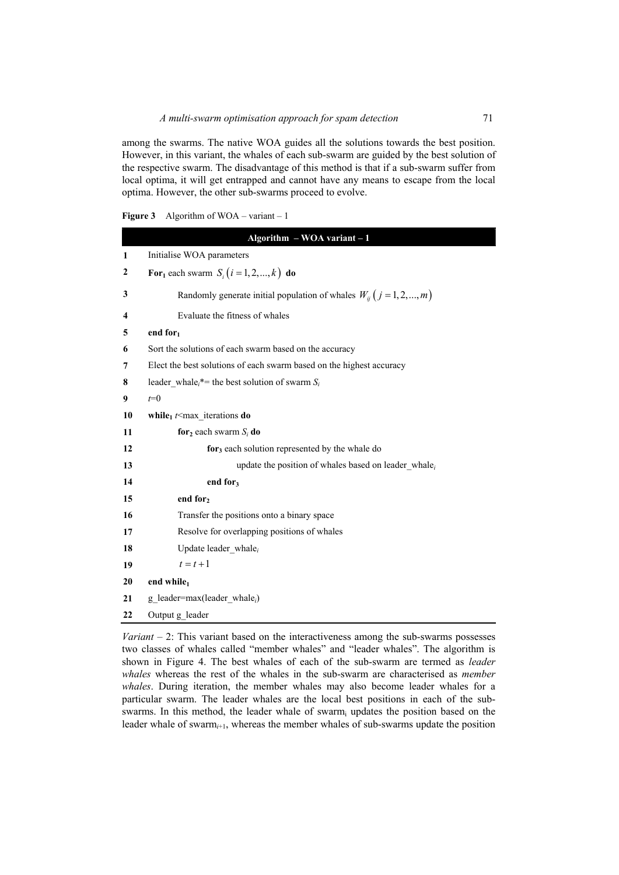among the swarms. The native WOA guides all the solutions towards the best position. However, in this variant, the whales of each sub-swarm are guided by the best solution of the respective swarm. The disadvantage of this method is that if a sub-swarm suffer from local optima, it will get entrapped and cannot have any means to escape from the local optima. However, the other sub-swarms proceed to evolve.

| <b>Figure 3</b> |  |  | Algorithm of $WOA - variant - 1$ |
|-----------------|--|--|----------------------------------|
|-----------------|--|--|----------------------------------|

|                     | Algorithm $-$ WOA variant $-1$                                            |
|---------------------|---------------------------------------------------------------------------|
| 1                   | Initialise WOA parameters                                                 |
| 2                   | For <sub>1</sub> each swarm $S_i$ $(i = 1, 2, , k)$ do                    |
| 3                   | Randomly generate initial population of whales $W_{ij}$ $(j = 1, 2, , m)$ |
| $\overline{\bf{4}}$ | Evaluate the fitness of whales                                            |
| 5                   | end for $_1$                                                              |
| 6                   | Sort the solutions of each swarm based on the accuracy                    |
| 7                   | Elect the best solutions of each swarm based on the highest accuracy      |
| 8                   | leader whale, <sup>*</sup> = the best solution of swarm $S_i$             |
| 9                   | $t=0$                                                                     |
| 10                  | while <sub>1</sub> $t$ max iterations do                                  |
| 11                  | for <sub>2</sub> each swarm $S_i$ do                                      |
| 12                  | $for3$ each solution represented by the whale do                          |
| 13                  | update the position of whales based on leader whale $_i$                  |
| 14                  | end for <sub>3</sub>                                                      |
| 15                  | end for <sub>2</sub>                                                      |
| 16                  | Transfer the positions onto a binary space                                |
| 17                  | Resolve for overlapping positions of whales                               |
| 18                  | Update leader whale $_i$                                                  |
| 19                  | $t=t+1$                                                                   |
| 20                  | end while1                                                                |
| 21                  | g leader=max(leader whale <sub>i</sub> )                                  |
| 22                  | Output g leader                                                           |

*Variant* – 2: This variant based on the interactiveness among the sub-swarms possesses two classes of whales called "member whales" and "leader whales". The algorithm is shown in Figure 4. The best whales of each of the sub-swarm are termed as *leader whales* whereas the rest of the whales in the sub-swarm are characterised as *member whales*. During iteration, the member whales may also become leader whales for a particular swarm. The leader whales are the local best positions in each of the subswarms. In this method, the leader whale of swarm<sub>i</sub> updates the position based on the leader whale of swarm*i*+1, whereas the member whales of sub-swarms update the position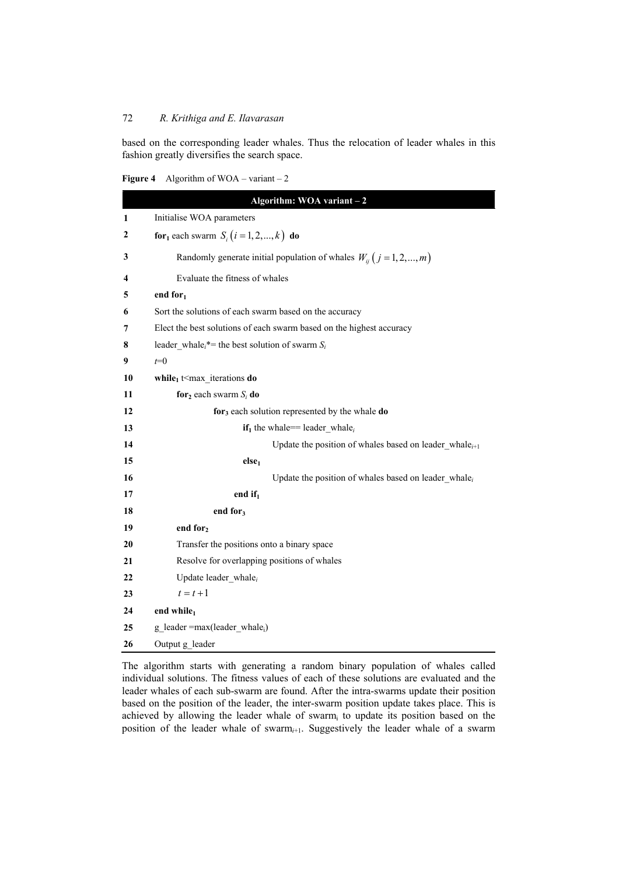based on the corresponding leader whales. Thus the relocation of leader whales in this fashion greatly diversifies the search space.

|  | <b>Figure 4</b> Algorithm of WOA – variant – 2 |  |
|--|------------------------------------------------|--|
|--|------------------------------------------------|--|

|    | Algorithm: WOA variant - 2                                                |
|----|---------------------------------------------------------------------------|
| 1  | Initialise WOA parameters                                                 |
| 2  | <b>for</b> <sub>1</sub> each swarm $S_i$ ( $i = 1, 2, , k$ ) <b>do</b>    |
| 3  | Randomly generate initial population of whales $W_{ii}$ $(j = 1, 2, , m)$ |
| 4  | Evaluate the fitness of whales                                            |
| 5  | end for $_1$                                                              |
| 6  | Sort the solutions of each swarm based on the accuracy                    |
| 7  | Elect the best solutions of each swarm based on the highest accuracy      |
| 8  | leader_whale <sub>i</sub> *= the best solution of swarm $S_i$             |
| 9  | $t=0$                                                                     |
| 10 | while <sub>1</sub> t <max do<="" iterations="" th=""></max>               |
| 11 | for <sub>2</sub> each swarm $S_i$ do                                      |
| 12 | $for3$ each solution represented by the whale <b>do</b>                   |
| 13 | $if_1$ the whale== leader whale <sub>i</sub>                              |
| 14 | Update the position of whales based on leader whale $_{i+1}$              |
| 15 | else <sub>1</sub>                                                         |
| 16 | Update the position of whales based on leader whale $_i$                  |
| 17 | end if <sub>1</sub>                                                       |
| 18 | end for $_3$                                                              |
| 19 | end for <sub>2</sub>                                                      |
| 20 | Transfer the positions onto a binary space                                |
| 21 | Resolve for overlapping positions of whales                               |
| 22 | Update leader whale $_i$                                                  |
| 23 | $t=t+1$                                                                   |
| 24 | end while $_1$                                                            |
| 25 | g leader = $max(leader value_i)$                                          |
| 26 | Output g leader                                                           |

The algorithm starts with generating a random binary population of whales called individual solutions. The fitness values of each of these solutions are evaluated and the leader whales of each sub-swarm are found. After the intra-swarms update their position based on the position of the leader, the inter-swarm position update takes place. This is achieved by allowing the leader whale of swarm<sub>i</sub> to update its position based on the position of the leader whale of swarm*i*+1. Suggestively the leader whale of a swarm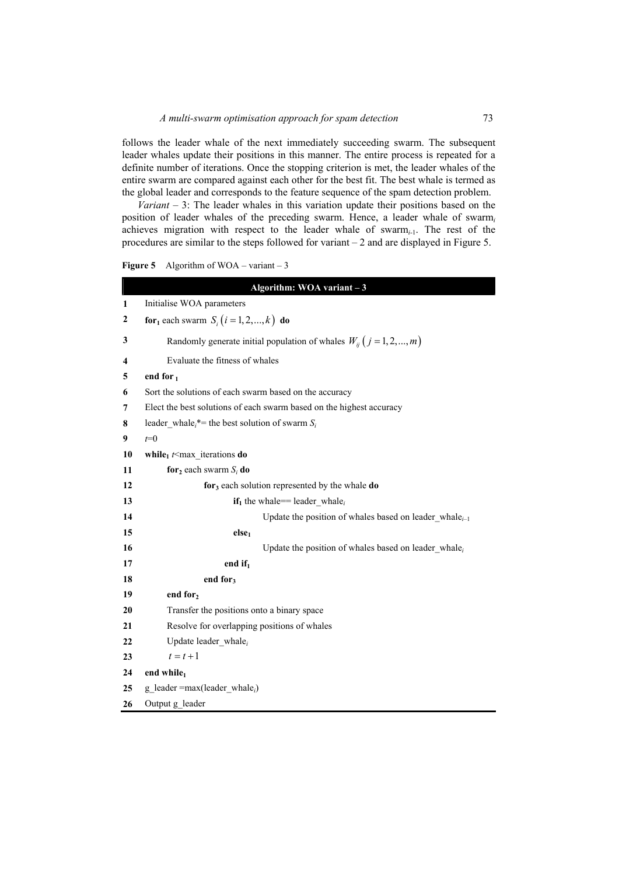follows the leader whale of the next immediately succeeding swarm. The subsequent leader whales update their positions in this manner. The entire process is repeated for a definite number of iterations. Once the stopping criterion is met, the leader whales of the entire swarm are compared against each other for the best fit. The best whale is termed as the global leader and corresponds to the feature sequence of the spam detection problem.

*Variant* – 3: The leader whales in this variation update their positions based on the position of leader whales of the preceding swarm. Hence, a leader whale of swarm*<sup>i</sup>* achieves migration with respect to the leader whale of swarm*i*-1. The rest of the procedures are similar to the steps followed for variant – 2 and are displayed in Figure 5.

**Figure 5** Algorithm of WOA – variant – 3

|              | Algorithm: WOA variant $-3$                                               |
|--------------|---------------------------------------------------------------------------|
| $\mathbf{1}$ | Initialise WOA parameters                                                 |
| 2            | for <sub>1</sub> each swarm $S_i$ $(i = 1, 2, , k)$ do                    |
| 3            | Randomly generate initial population of whales $W_{ij}$ $(j = 1, 2, , m)$ |
| 4            | Evaluate the fitness of whales                                            |
| 5            | end for $_1$                                                              |
| 6            | Sort the solutions of each swarm based on the accuracy                    |
| 7            | Elect the best solutions of each swarm based on the highest accuracy      |
| 8            | leader_whale <sub>i</sub> *= the best solution of swarm $S_i$             |
| 9            | $t=0$                                                                     |
| 10           | while <sub>1</sub> $t$ <max do<="" iterations="" th=""></max>             |
| 11           | for <sub>2</sub> each swarm $S_i$ do                                      |
| 12           | for <sub>3</sub> each solution represented by the whale do                |
| 13           | <b>if</b> <sub>1</sub> the whale== leader whale <sub>i</sub>              |
| 14           | Update the position of whales based on leader whale $_{i-1}$              |
| 15           | else <sub>1</sub>                                                         |
| 16           | Update the position of whales based on leader whale $_i$                  |
| 17           | end if $_1$                                                               |
| 18           | end for <sub>3</sub>                                                      |
| 19           | end for <sub>2</sub>                                                      |
| 20           | Transfer the positions onto a binary space                                |
| 21           | Resolve for overlapping positions of whales                               |
| 22           | Update leader whale $_i$                                                  |
| 23           | $t=t+1$                                                                   |
| 24           | end while                                                                 |
| 25           | g leader = $max(leader_whale_i)$                                          |
| 26           | Output g leader                                                           |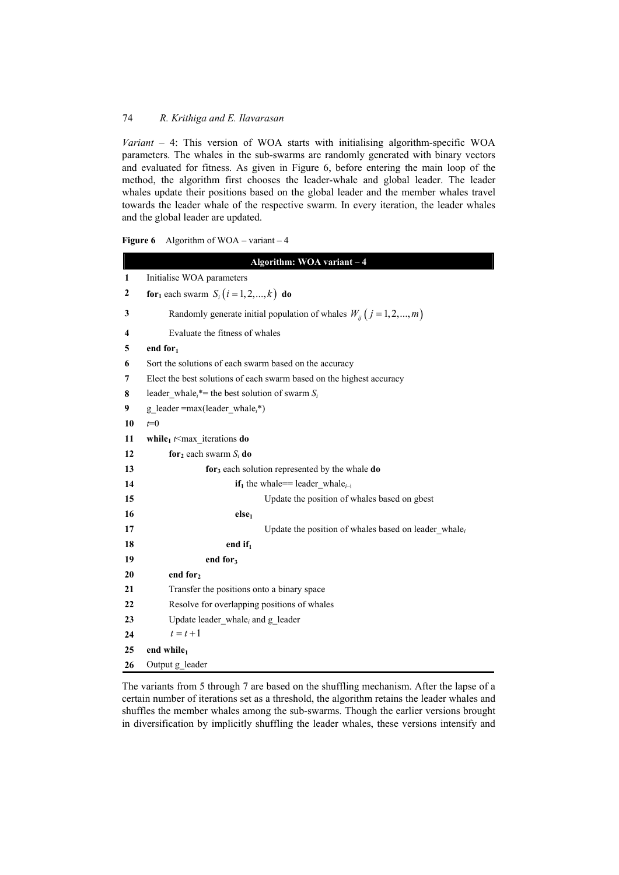*Variant* – 4: This version of WOA starts with initialising algorithm-specific WOA parameters. The whales in the sub-swarms are randomly generated with binary vectors and evaluated for fitness. As given in Figure 6, before entering the main loop of the method, the algorithm first chooses the leader-whale and global leader. The leader whales update their positions based on the global leader and the member whales travel towards the leader whale of the respective swarm. In every iteration, the leader whales and the global leader are updated.

```
Figure 6 Algorithm of WOA – variant – 4
```

|    | Algorithm: WOA variant - 4                                                |
|----|---------------------------------------------------------------------------|
| 1  | Initialise WOA parameters                                                 |
| 2  | for <sub>1</sub> each swarm $S_i$ $(i = 1, 2, , k)$ do                    |
| 3  | Randomly generate initial population of whales $W_{ij}$ $(j = 1, 2, , m)$ |
| 4  | Evaluate the fitness of whales                                            |
| 5  | end for $_1$                                                              |
| 6  | Sort the solutions of each swarm based on the accuracy                    |
| 7  | Elect the best solutions of each swarm based on the highest accuracy      |
| 8  | leader whale <sub>i</sub> <sup>*</sup> = the best solution of swarm $S_i$ |
| 9  | g leader = max(leader whale $_i^*$ )                                      |
| 10 | $t=0$                                                                     |
| 11 | while <sub>1</sub> $t$ <max do<="" iterations="" th=""></max>             |
| 12 | for <sub>2</sub> each swarm $S_i$ do                                      |
| 13 | $for3$ each solution represented by the whale <b>do</b>                   |
| 14 | if <sub>1</sub> the whale== leader whale <sub>i-i</sub>                   |
| 15 | Update the position of whales based on gbest                              |
| 16 | else <sub>1</sub>                                                         |
| 17 | Update the position of whales based on leader whale $_i$                  |
| 18 | end if $_1$                                                               |
| 19 | end for <sub>3</sub>                                                      |
| 20 | end for,                                                                  |
| 21 | Transfer the positions onto a binary space                                |
| 22 | Resolve for overlapping positions of whales                               |
| 23 | Update leader_whale <sub>i</sub> and g_leader                             |
| 24 | $t = t + 1$                                                               |
| 25 | end while <sub>1</sub>                                                    |
| 26 | Output g_leader                                                           |

The variants from 5 through 7 are based on the shuffling mechanism. After the lapse of a certain number of iterations set as a threshold, the algorithm retains the leader whales and shuffles the member whales among the sub-swarms. Though the earlier versions brought in diversification by implicitly shuffling the leader whales, these versions intensify and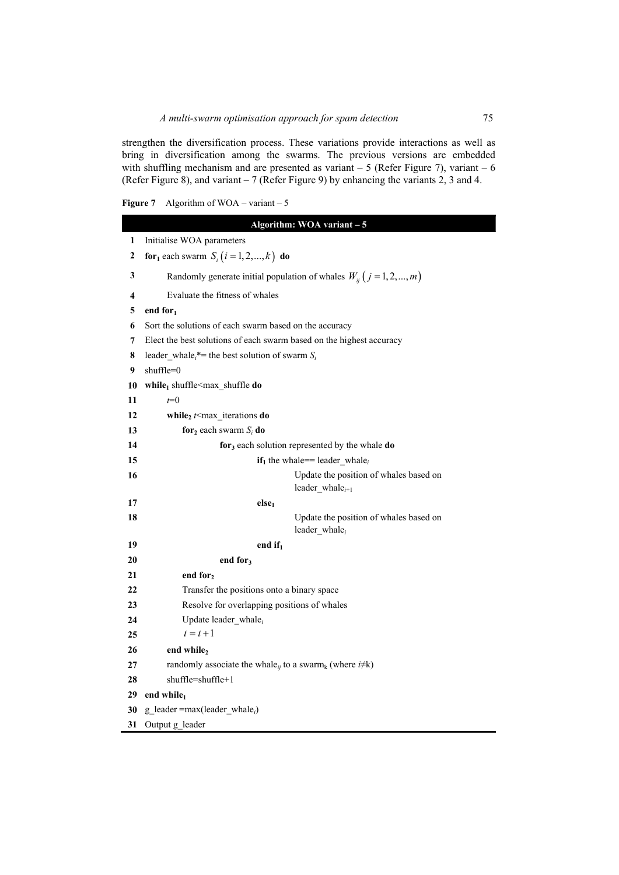strengthen the diversification process. These variations provide interactions as well as bring in diversification among the swarms. The previous versions are embedded with shuffling mechanism and are presented as variant  $-5$  (Refer Figure 7), variant  $-6$ (Refer Figure 8), and variant – 7 (Refer Figure 9) by enhancing the variants 2, 3 and 4.

| <b>Figure 7</b> |  |  | Algorithm of $WOA - variant - 5$ |
|-----------------|--|--|----------------------------------|
|-----------------|--|--|----------------------------------|

|                  | Algorithm: WOA variant - 5                                                             |
|------------------|----------------------------------------------------------------------------------------|
| $\mathbf{1}$     | Initialise WOA parameters                                                              |
| $\boldsymbol{2}$ | <b>for</b> <sub>1</sub> each swarm $S_i$ ( $i = 1, 2, , k$ ) <b>do</b>                 |
| 3                | Randomly generate initial population of whales $W_{ii}$ $(j = 1, 2, , m)$              |
| 4                | Evaluate the fitness of whales                                                         |
| 5                | end for $_1$                                                                           |
| 6                | Sort the solutions of each swarm based on the accuracy                                 |
| 7                | Elect the best solutions of each swarm based on the highest accuracy                   |
| 8                | leader whale <sub>i</sub> <sup>*</sup> = the best solution of swarm $S_i$              |
| 9                | shuffle=0                                                                              |
| 10               | while <sub>1</sub> shuffle <max_shuffle do<="" th=""></max_shuffle>                    |
| 11               | $t=0$                                                                                  |
| 12               | while <sub>2</sub> $t$ max iterations do                                               |
| 13               | for <sub>2</sub> each swarm $S_i$ do                                                   |
| 14               | for <sub>3</sub> each solution represented by the whale do                             |
| 15               | $if_1$ the whale== leader whale <sub>i</sub>                                           |
| 16               | Update the position of whales based on<br>leader whale $_{i+1}$                        |
| 17               | else <sub>1</sub>                                                                      |
| 18               | Update the position of whales based on<br>leader_whale $_i$                            |
| 19               | end if <sub>1</sub>                                                                    |
| 20               | end for <sub>3</sub>                                                                   |
| 21               | end for <sub>2</sub>                                                                   |
| 22               | Transfer the positions onto a binary space                                             |
| 23               | Resolve for overlapping positions of whales                                            |
| 24               | Update leader whale $_i$                                                               |
| 25               | $t=t+1$                                                                                |
| 26               | end while2                                                                             |
| 27               | randomly associate the whale <sub>ij</sub> to a swarm <sub>k</sub> (where $i \neq k$ ) |
| 28               | $shuffle = shuffle + 1$                                                                |
| 29               | end while                                                                              |
| 30               | $g$ leader = max(leader whale <sub>i</sub> )                                           |
| 31               | Output g leader                                                                        |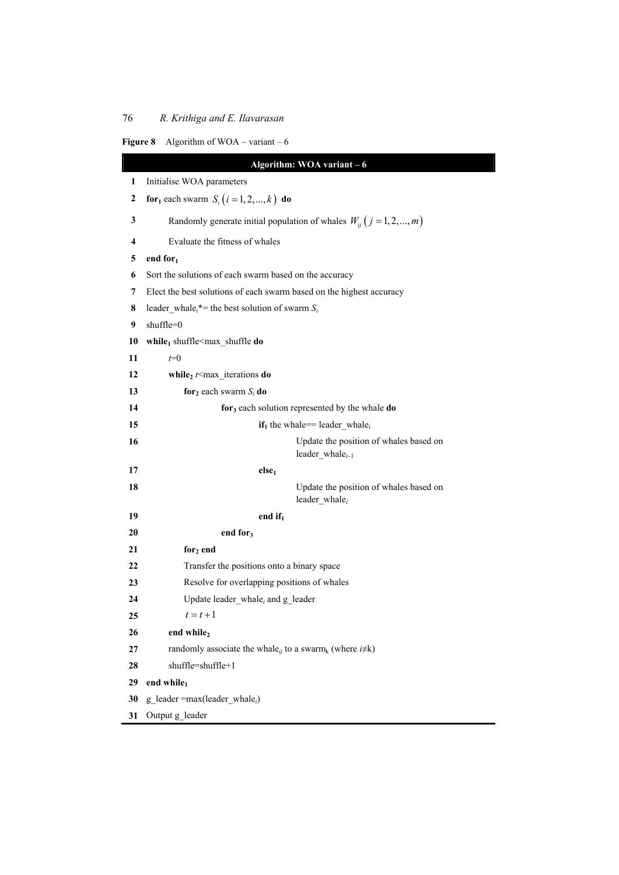| 76                      | R. Krithiga and E. Ilavarasan                                             |  |
|-------------------------|---------------------------------------------------------------------------|--|
| Figure 8                | Algorithm of $WOA - variant - 6$                                          |  |
|                         | Algorithm: WOA variant - 6                                                |  |
| 1                       | Initialise WOA parameters                                                 |  |
| $\boldsymbol{2}$        | <b>for</b> <sub>1</sub> each swarm $S_i$ ( $i = 1, 2, , k$ ) <b>do</b>    |  |
| 3                       | Randomly generate initial population of whales $W_{ii}$ $(j = 1, 2, , m)$ |  |
| $\overline{\mathbf{4}}$ | Evaluate the fitness of whales                                            |  |
| 5                       | end for <sub>1</sub>                                                      |  |
| 6                       | Sort the solutions of each swarm based on the accuracy                    |  |
| 7                       | Elect the best solutions of each swarm based on the highest accuracy      |  |
| 8                       | leader_whale <sub>i</sub> *= the best solution of swarm $S_i$             |  |
| 9                       | $shuffle=0$                                                               |  |
| 10                      | while <sub>1</sub> shuffle <max_shuffle do<="" th=""></max_shuffle>       |  |
| 11                      | $t=0$                                                                     |  |
| 12                      | while <sub>2</sub> $t$ <max_iterations do<="" th=""></max_iterations>     |  |
| 13                      | for <sub>2</sub> each swarm $S_i$ do                                      |  |
| 14                      | for <sub>3</sub> each solution represented by the whale do                |  |
| 15                      | $if_1$ the whale== leader_whale <sub>i</sub>                              |  |
| 16                      | Update the position of whales based on<br>leader_whale $_{i-1}$           |  |
| 17                      | else <sub>1</sub>                                                         |  |
| 18                      | Update the position of whales based on<br>leader_whale $_i$               |  |
| 19                      | end if <sub>1</sub>                                                       |  |
| 20                      | end for <sub>3</sub>                                                      |  |
| 21                      | for <sub>2</sub> end                                                      |  |
| 22                      | Transfer the positions onto a binary space                                |  |
| 23                      | Resolve for overlapping positions of whales                               |  |
| 24                      | Update leader whale, and g leader                                         |  |
| 25                      | $t=t+1$                                                                   |  |
| 26                      | end while,                                                                |  |

**27 randomly associate the whale**<sub>*ij*</sub> to a swarm<sub>k</sub> (where  $i \neq k$ )

**28** shuffle=shuffle+1

29 end while<sub>1</sub>

**30** g\_leader =max(leader\_whale*i*)

**31** Output g\_leader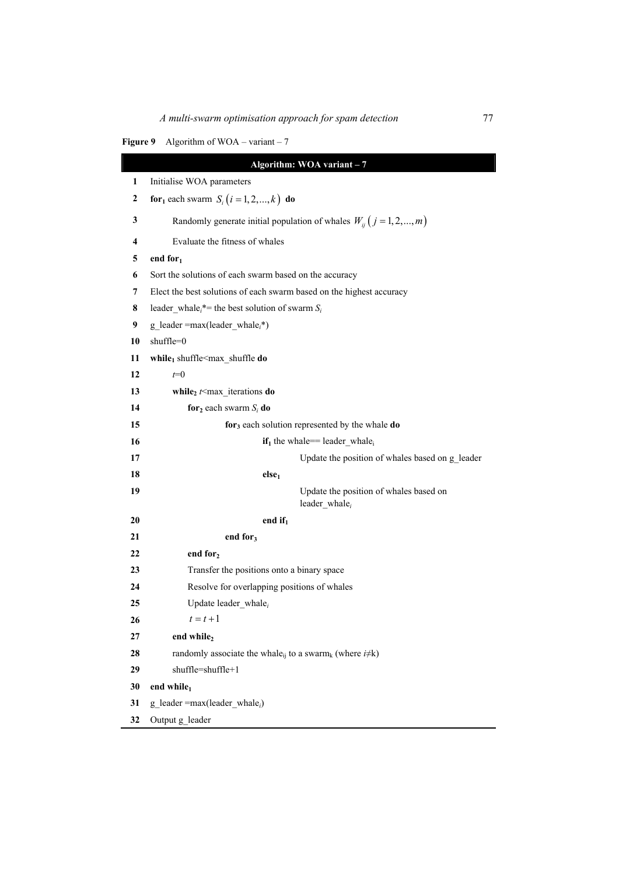## **Figure 9** Algorithm of WOA – variant – 7

|                  | Algorithm: WOA variant - 7                                                             |  |  |
|------------------|----------------------------------------------------------------------------------------|--|--|
| 1                | Initialise WOA parameters                                                              |  |  |
| $\boldsymbol{2}$ | <b>for</b> <sub>1</sub> each swarm $S_i$ ( $i = 1, 2, , k$ ) <b>do</b>                 |  |  |
| 3                | Randomly generate initial population of whales $W_{ii}$ $(j = 1, 2, , m)$              |  |  |
| 4                | Evaluate the fitness of whales                                                         |  |  |
| 5                | end for $_1$                                                                           |  |  |
| 6                | Sort the solutions of each swarm based on the accuracy                                 |  |  |
| 7                | Elect the best solutions of each swarm based on the highest accuracy                   |  |  |
| 8                | leader_whale <sub>i</sub> *= the best solution of swarm $S_i$                          |  |  |
| 9                | $g$ leader = max(leader whale <sub>i</sub> *)                                          |  |  |
| 10               | shuffle=0                                                                              |  |  |
| 11               | while <sub>1</sub> shuffle $\leq$ max_shuffle do                                       |  |  |
| 12               | $t=0$                                                                                  |  |  |
| 13               | while <sub>2</sub> $t$ <max do<="" iterations="" th=""></max>                          |  |  |
| 14               | for <sub>2</sub> each swarm $S_i$ do                                                   |  |  |
| 15               | for <sub>3</sub> each solution represented by the whale do                             |  |  |
| 16               | $if_1$ the whale== leader whale <sub>i</sub>                                           |  |  |
| 17               | Update the position of whales based on g_leader                                        |  |  |
| 18               | else <sub>1</sub>                                                                      |  |  |
| 19               | Update the position of whales based on<br>leader_whale $_i$                            |  |  |
| 20               | end if $_1$                                                                            |  |  |
| 21               | end for <sub>3</sub>                                                                   |  |  |
| 22               | end for <sub>2</sub>                                                                   |  |  |
| 23               | Transfer the positions onto a binary space                                             |  |  |
| 24               | Resolve for overlapping positions of whales                                            |  |  |
| 25               | Update leader whale $_i$                                                               |  |  |
| 26               | $t = t + 1$                                                                            |  |  |
| 27               | end while <sub>2</sub>                                                                 |  |  |
| 28               | randomly associate the whale <sub>ii</sub> to a swarm <sub>k</sub> (where $i \neq k$ ) |  |  |
| 29               | shuffle=shuffle+1                                                                      |  |  |
| 30               | end while $_1$                                                                         |  |  |
| 31               | g leader = max(leader whale <sub>i</sub> )                                             |  |  |
| 32               | Output g leader                                                                        |  |  |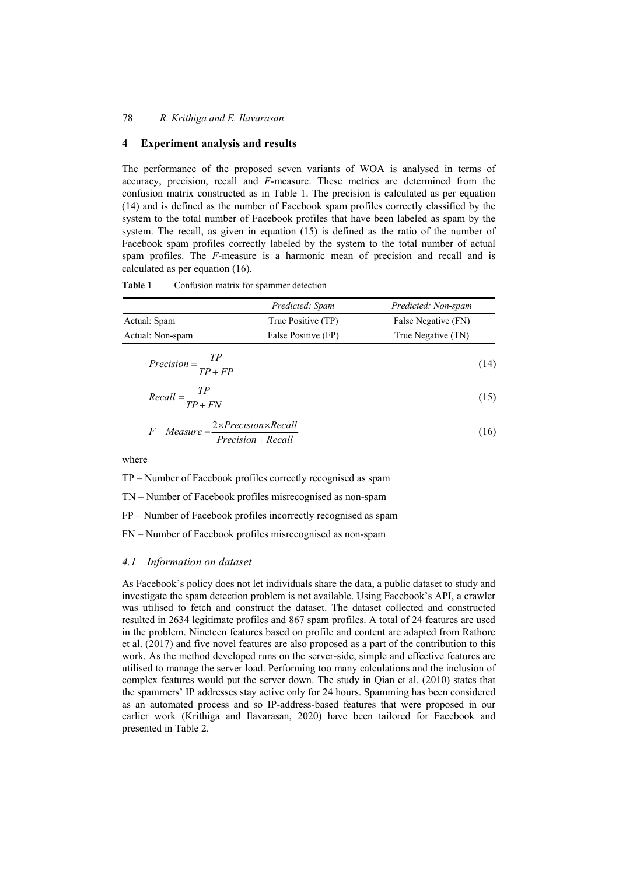## **4 Experiment analysis and results**

The performance of the proposed seven variants of WOA is analysed in terms of accuracy, precision, recall and *F*-measure. These metrics are determined from the confusion matrix constructed as in Table 1. The precision is calculated as per equation (14) and is defined as the number of Facebook spam profiles correctly classified by the system to the total number of Facebook profiles that have been labeled as spam by the system. The recall, as given in equation (15) is defined as the ratio of the number of Facebook spam profiles correctly labeled by the system to the total number of actual spam profiles. The *F*-measure is a harmonic mean of precision and recall and is calculated as per equation (16).

|                             | Predicted: Spam     | Predicted: Non-spam |
|-----------------------------|---------------------|---------------------|
| Actual: Spam                | True Positive (TP)  | False Negative (FN) |
| Actual: Non-spam            | False Positive (FP) | True Negative (TN)  |
| Precision = $\frac{TP}{TP}$ |                     | (14)                |

Table 1 Confusion matrix for spammer detection

|                              | .         |      |
|------------------------------|-----------|------|
| $Recall = \frac{TP}{\qquad}$ | $TP + FN$ | (15) |

$$
F-Measure = \frac{2 \times Precision \times Recall}{Precision + Recall}
$$
 (16)

where

TP – Number of Facebook profiles correctly recognised as spam

TN – Number of Facebook profiles misrecognised as non-spam

FP – Number of Facebook profiles incorrectly recognised as spam

FN – Number of Facebook profiles misrecognised as non-spam

#### *4.1 Information on dataset*

As Facebook's policy does not let individuals share the data, a public dataset to study and investigate the spam detection problem is not available. Using Facebook's API, a crawler was utilised to fetch and construct the dataset. The dataset collected and constructed resulted in 2634 legitimate profiles and 867 spam profiles. A total of 24 features are used in the problem. Nineteen features based on profile and content are adapted from Rathore et al. (2017) and five novel features are also proposed as a part of the contribution to this work. As the method developed runs on the server-side, simple and effective features are utilised to manage the server load. Performing too many calculations and the inclusion of complex features would put the server down. The study in Qian et al. (2010) states that the spammers' IP addresses stay active only for 24 hours. Spamming has been considered as an automated process and so IP-address-based features that were proposed in our earlier work (Krithiga and Ilavarasan, 2020) have been tailored for Facebook and presented in Table 2.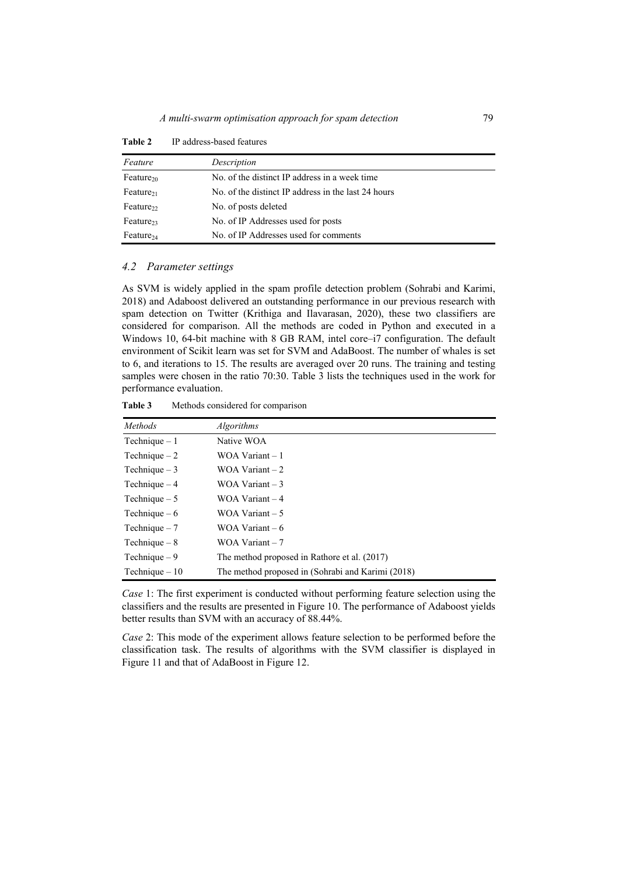| Feature               | Description                                         |
|-----------------------|-----------------------------------------------------|
| Feature <sub>20</sub> | No. of the distinct IP address in a week time       |
| $Feature_{21}$        | No. of the distinct IP address in the last 24 hours |
| Feature <sub>22</sub> | No. of posts deleted                                |
| Feature <sub>23</sub> | No. of IP Addresses used for posts                  |
| Feature <sub>24</sub> | No. of IP Addresses used for comments               |

**Table 2** IP address-based features

#### *4.2 Parameter settings*

As SVM is widely applied in the spam profile detection problem (Sohrabi and Karimi, 2018) and Adaboost delivered an outstanding performance in our previous research with spam detection on Twitter (Krithiga and Ilavarasan, 2020), these two classifiers are considered for comparison. All the methods are coded in Python and executed in a Windows 10, 64-bit machine with 8 GB RAM, intel core–i7 configuration. The default environment of Scikit learn was set for SVM and AdaBoost. The number of whales is set to 6, and iterations to 15. The results are averaged over 20 runs. The training and testing samples were chosen in the ratio 70:30. Table 3 lists the techniques used in the work for performance evaluation.

**Table 3** Methods considered for comparison

| <i>Methods</i>  | <b>Algorithms</b>                                 |
|-----------------|---------------------------------------------------|
| Technique $-1$  | Native WOA                                        |
| Technique $-2$  | WOA Variant $-1$                                  |
| Technique $-3$  | WOA Variant $-2$                                  |
| Technique $-4$  | WOA Variant $-3$                                  |
| Technique $-5$  | WOA Variant $-4$                                  |
| Technique $-6$  | WOA Variant $-5$                                  |
| Technique $-7$  | WOA Variant $-6$                                  |
| Technique $-8$  | WOA Variant $-7$                                  |
| Technique $-9$  | The method proposed in Rathore et al. (2017)      |
| Technique $-10$ | The method proposed in (Sohrabi and Karimi (2018) |

*Case* 1: The first experiment is conducted without performing feature selection using the classifiers and the results are presented in Figure 10. The performance of Adaboost yields better results than SVM with an accuracy of 88.44%.

*Case* 2: This mode of the experiment allows feature selection to be performed before the classification task. The results of algorithms with the SVM classifier is displayed in Figure 11 and that of AdaBoost in Figure 12.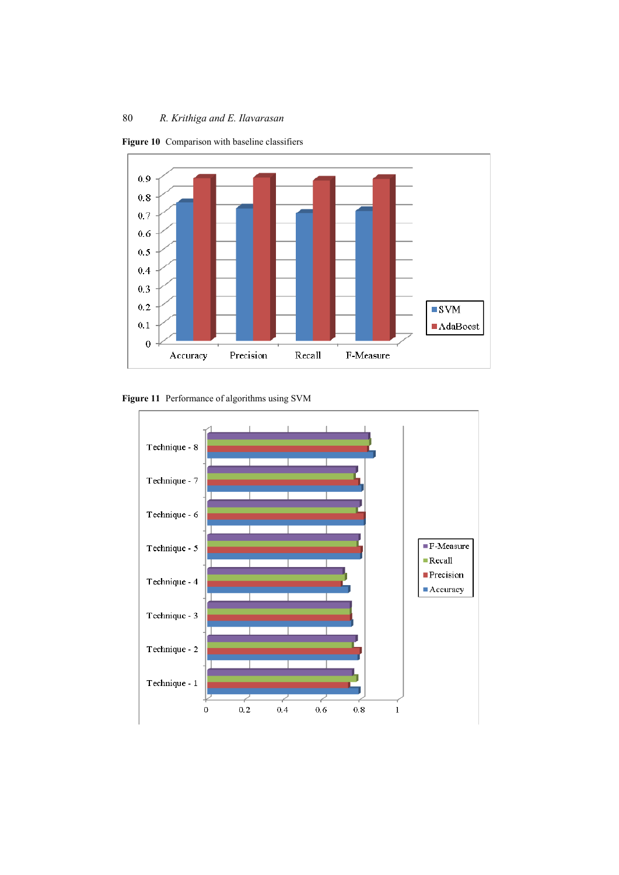

**Figure 10** Comparison with baseline classifiers

**Figure 11** Performance of algorithms using SVM

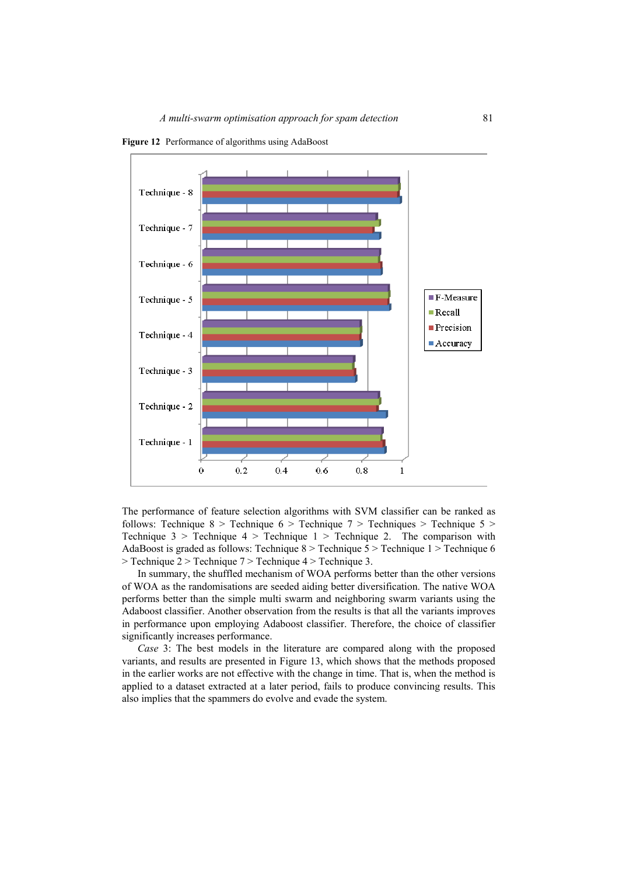

**Figure 12** Performance of algorithms using AdaBoost

The performance of feature selection algorithms with SVM classifier can be ranked as follows: Technique  $8 >$  Technique 6 > Technique 7 > Techniques > Technique 5 > Technique  $3 >$  Technique  $4 >$  Technique  $1 >$  Technique 2. The comparison with AdaBoost is graded as follows: Technique 8 > Technique 5 > Technique 1 > Technique 6 > Technique 2 > Technique 7 > Technique 4 > Technique 3.

In summary, the shuffled mechanism of WOA performs better than the other versions of WOA as the randomisations are seeded aiding better diversification. The native WOA performs better than the simple multi swarm and neighboring swarm variants using the Adaboost classifier. Another observation from the results is that all the variants improves in performance upon employing Adaboost classifier. Therefore, the choice of classifier significantly increases performance.

*Case* 3: The best models in the literature are compared along with the proposed variants, and results are presented in Figure 13, which shows that the methods proposed in the earlier works are not effective with the change in time. That is, when the method is applied to a dataset extracted at a later period, fails to produce convincing results. This also implies that the spammers do evolve and evade the system.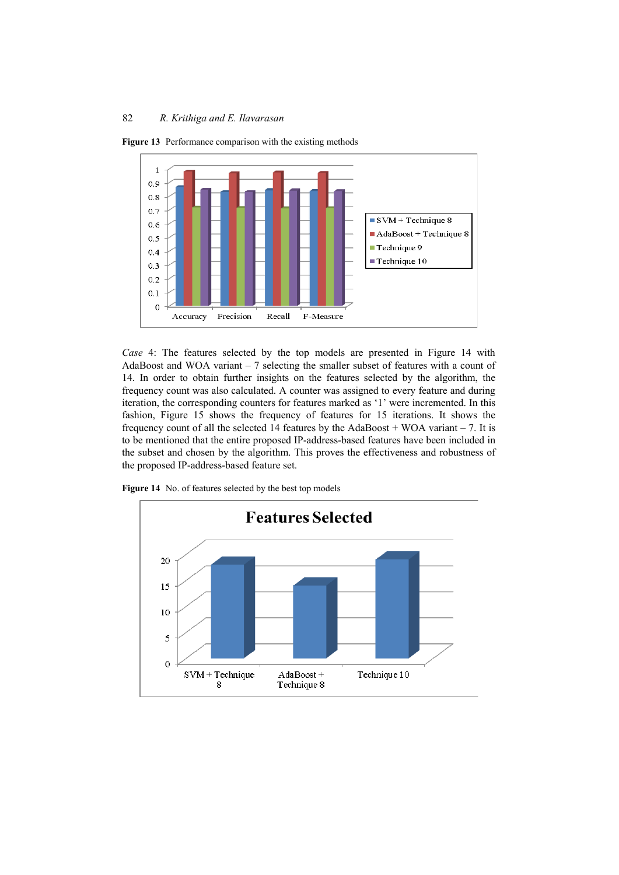

**Figure 13** Performance comparison with the existing methods

*Case* 4: The features selected by the top models are presented in Figure 14 with AdaBoost and WOA variant – 7 selecting the smaller subset of features with a count of 14. In order to obtain further insights on the features selected by the algorithm, the frequency count was also calculated. A counter was assigned to every feature and during iteration, the corresponding counters for features marked as '1' were incremented. In this fashion, Figure 15 shows the frequency of features for 15 iterations. It shows the frequency count of all the selected 14 features by the AdaBoost  $+$  WOA variant  $-7$ . It is to be mentioned that the entire proposed IP-address-based features have been included in the subset and chosen by the algorithm. This proves the effectiveness and robustness of the proposed IP-address-based feature set.



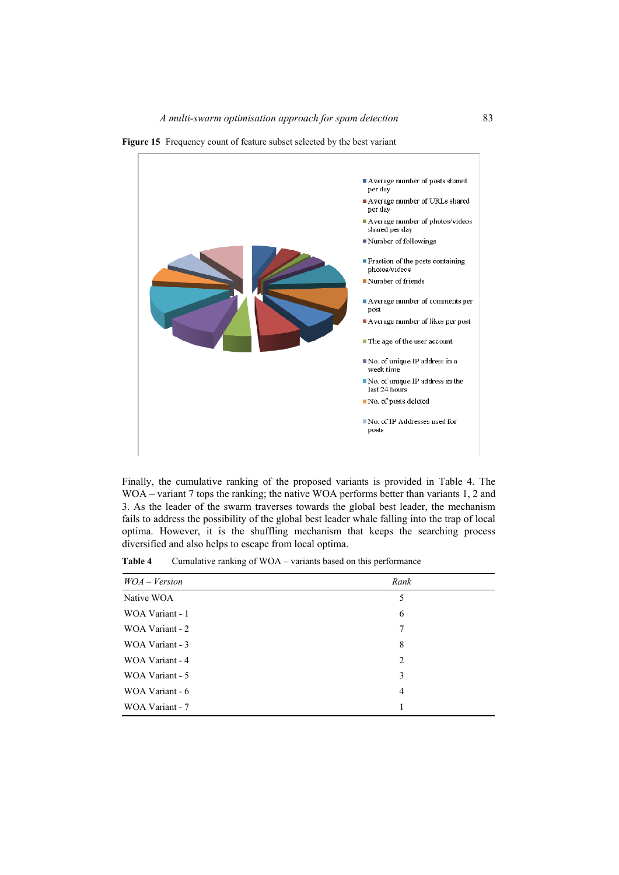



Finally, the cumulative ranking of the proposed variants is provided in Table 4. The WOA – variant 7 tops the ranking; the native WOA performs better than variants 1, 2 and 3. As the leader of the swarm traverses towards the global best leader, the mechanism fails to address the possibility of the global best leader whale falling into the trap of local optima. However, it is the shuffling mechanism that keeps the searching process diversified and also helps to escape from local optima.

| $WOA - Version$ | Rank |
|-----------------|------|
| Native WOA      | 5    |
| WOA Variant - 1 | 6    |
| WOA Variant - 2 | 7    |
| WOA Variant - 3 | 8    |
| WOA Variant - 4 | 2    |
| WOA Variant - 5 | 3    |
| WOA Variant - 6 | 4    |
| WOA Variant - 7 |      |

Table 4 Cumulative ranking of WOA – variants based on this performance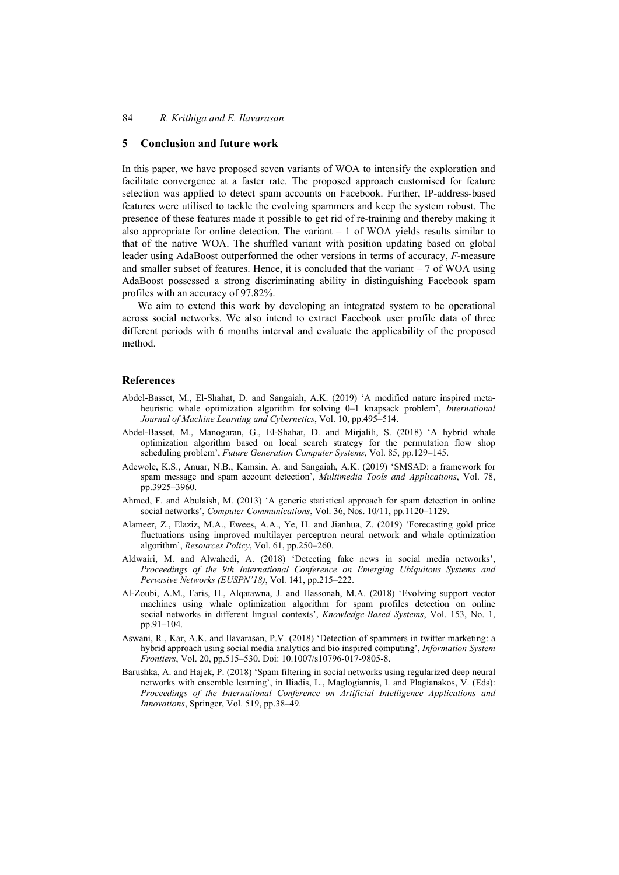### **5 Conclusion and future work**

In this paper, we have proposed seven variants of WOA to intensify the exploration and facilitate convergence at a faster rate. The proposed approach customised for feature selection was applied to detect spam accounts on Facebook. Further, IP-address-based features were utilised to tackle the evolving spammers and keep the system robust. The presence of these features made it possible to get rid of re-training and thereby making it also appropriate for online detection. The variant – 1 of WOA yields results similar to that of the native WOA. The shuffled variant with position updating based on global leader using AdaBoost outperformed the other versions in terms of accuracy, *F*-measure and smaller subset of features. Hence, it is concluded that the variant – 7 of WOA using AdaBoost possessed a strong discriminating ability in distinguishing Facebook spam profiles with an accuracy of 97.82%.

We aim to extend this work by developing an integrated system to be operational across social networks. We also intend to extract Facebook user profile data of three different periods with 6 months interval and evaluate the applicability of the proposed method.

#### **References**

- Abdel-Basset, M., El-Shahat, D. and Sangaiah, A.K. (2019) 'A modified nature inspired metaheuristic whale optimization algorithm for solving 0–1 knapsack problem', *International Journal of Machine Learning and Cybernetics*, Vol. 10, pp.495–514.
- Abdel-Basset, M., Manogaran, G., El-Shahat, D. and Mirjalili, S. (2018) 'A hybrid whale optimization algorithm based on local search strategy for the permutation flow shop scheduling problem', *Future Generation Computer Systems*, Vol. 85, pp.129–145.
- Adewole, K.S., Anuar, N.B., Kamsin, A. and Sangaiah, A.K. (2019) 'SMSAD: a framework for spam message and spam account detection', *Multimedia Tools and Applications*, Vol. 78, pp.3925–3960.
- Ahmed, F. and Abulaish, M. (2013) 'A generic statistical approach for spam detection in online social networks', *Computer Communications*, Vol. 36, Nos. 10/11, pp.1120–1129.
- Alameer, Z., Elaziz, M.A., Ewees, A.A., Ye, H. and Jianhua, Z. (2019) 'Forecasting gold price fluctuations using improved multilayer perceptron neural network and whale optimization algorithm', *Resources Policy*, Vol. 61, pp.250–260.
- Aldwairi, M. and Alwahedi, A. (2018) 'Detecting fake news in social media networks', *Proceedings of the 9th International Conference on Emerging Ubiquitous Systems and Pervasive Networks (EUSPN'18)*, Vol. 141, pp.215–222.
- Al-Zoubi, A.M., Faris, H., Alqatawna, J. and Hassonah, M.A. (2018) 'Evolving support vector machines using whale optimization algorithm for spam profiles detection on online social networks in different lingual contexts', *Knowledge-Based Systems*, Vol. 153, No. 1, pp.91–104.
- Aswani, R., Kar, A.K. and Ilavarasan, P.V. (2018) 'Detection of spammers in twitter marketing: a hybrid approach using social media analytics and bio inspired computing', *Information System Frontiers*, Vol. 20, pp.515–530. Doi: 10.1007/s10796-017-9805-8.
- Barushka, A. and Hajek, P. (2018) 'Spam filtering in social networks using regularized deep neural networks with ensemble learning', in Iliadis, L., Maglogiannis, I. and Plagianakos, V. (Eds): *Proceedings of the International Conference on Artificial Intelligence Applications and Innovations*, Springer, Vol. 519, pp.38–49.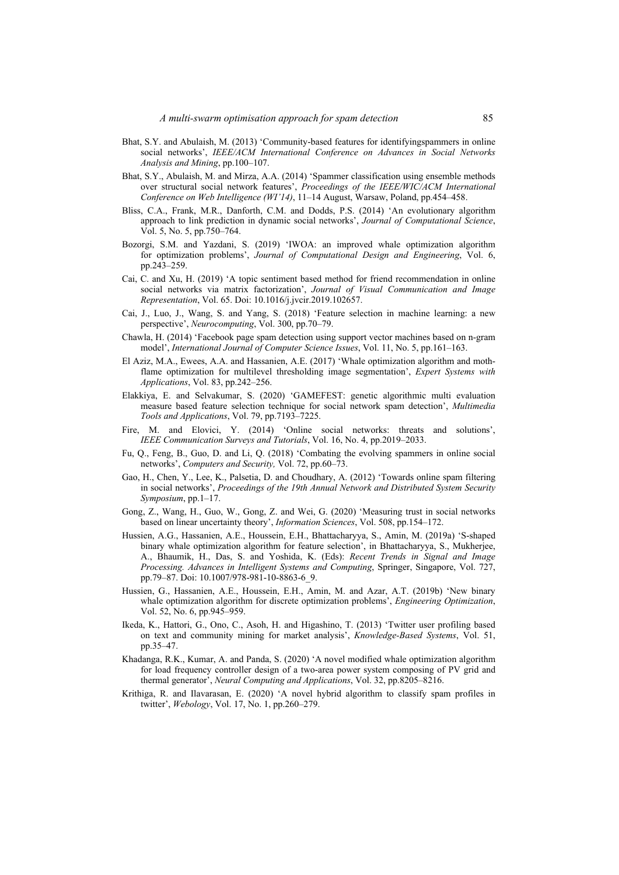- Bhat, S.Y. and Abulaish, M. (2013) 'Community-based features for identifyingspammers in online social networks', *IEEE/ACM International Conference on Advances in Social Networks Analysis and Mining*, pp.100–107.
- Bhat, S.Y., Abulaish, M. and Mirza, A.A. (2014) 'Spammer classification using ensemble methods over structural social network features', *Proceedings of the IEEE/WIC/ACM International Conference on Web Intelligence (WI'14)*, 11–14 August, Warsaw, Poland, pp.454–458.
- Bliss, C.A., Frank, M.R., Danforth, C.M. and Dodds, P.S. (2014) 'An evolutionary algorithm approach to link prediction in dynamic social networks', *Journal of Computational Science*, Vol. 5, No. 5, pp.750–764.
- Bozorgi, S.M. and Yazdani, S. (2019) 'IWOA: an improved whale optimization algorithm for optimization problems', *Journal of Computational Design and Engineering*, Vol. 6, pp.243–259.
- Cai, C. and Xu, H. (2019) 'A topic sentiment based method for friend recommendation in online social networks via matrix factorization', *Journal of Visual Communication and Image Representation*, Vol. 65. Doi: 10.1016/j.jvcir.2019.102657.
- Cai, J., Luo, J., Wang, S. and Yang, S. (2018) 'Feature selection in machine learning: a new perspective', *Neurocomputing*, Vol. 300, pp.70–79.
- Chawla, H. (2014) 'Facebook page spam detection using support vector machines based on n-gram model', *International Journal of Computer Science Issues*, Vol. 11, No. 5, pp.161–163.
- El Aziz, M.A., Ewees, A.A. and Hassanien, A.E. (2017) 'Whale optimization algorithm and mothflame optimization for multilevel thresholding image segmentation', *Expert Systems with Applications*, Vol. 83, pp.242–256.
- Elakkiya, E. and Selvakumar, S. (2020) 'GAMEFEST: genetic algorithmic multi evaluation measure based feature selection technique for social network spam detection', *Multimedia Tools and Applications*, Vol. 79, pp.7193–7225.
- Fire, M. and Elovici, Y. (2014) 'Online social networks: threats and solutions', *IEEE Communication Surveys and Tutorials*, Vol. 16, No. 4, pp.2019–2033.
- Fu, Q., Feng, B., Guo, D. and Li, Q. (2018) 'Combating the evolving spammers in online social networks', *Computers and Security,* Vol. 72, pp.60–73.
- Gao, H., Chen, Y., Lee, K., Palsetia, D. and Choudhary, A. (2012) 'Towards online spam filtering in social networks', *Proceedings of the 19th Annual Network and Distributed System Security Symposium*, pp.1–17.
- Gong, Z., Wang, H., Guo, W., Gong, Z. and Wei, G. (2020) 'Measuring trust in social networks based on linear uncertainty theory', *Information Sciences*, Vol. 508, pp.154–172.
- Hussien, A.G., Hassanien, A.E., Houssein, E.H., Bhattacharyya, S., Amin, M. (2019a) 'S-shaped binary whale optimization algorithm for feature selection', in Bhattacharyya, S., Mukherjee, A., Bhaumik, H., Das, S. and Yoshida, K. (Eds): *Recent Trends in Signal and Image Processing. Advances in Intelligent Systems and Computing*, Springer, Singapore, Vol. 727, pp.79–87. Doi: 10.1007/978-981-10-8863-6\_9.
- Hussien, G., Hassanien, A.E., Houssein, E.H., Amin, M. and Azar, A.T. (2019b) 'New binary whale optimization algorithm for discrete optimization problems', *Engineering Optimization*, Vol. 52, No. 6, pp.945–959.
- Ikeda, K., Hattori, G., Ono, C., Asoh, H. and Higashino, T. (2013) 'Twitter user profiling based on text and community mining for market analysis', *Knowledge-Based Systems*, Vol. 51, pp.35–47.
- Khadanga, R.K., Kumar, A. and Panda, S. (2020) 'A novel modified whale optimization algorithm for load frequency controller design of a two-area power system composing of PV grid and thermal generator', *Neural Computing and Applications*, Vol. 32, pp.8205–8216.
- Krithiga, R. and Ilavarasan, E. (2020) 'A novel hybrid algorithm to classify spam profiles in twitter', *Webology*, Vol. 17, No. 1, pp.260–279.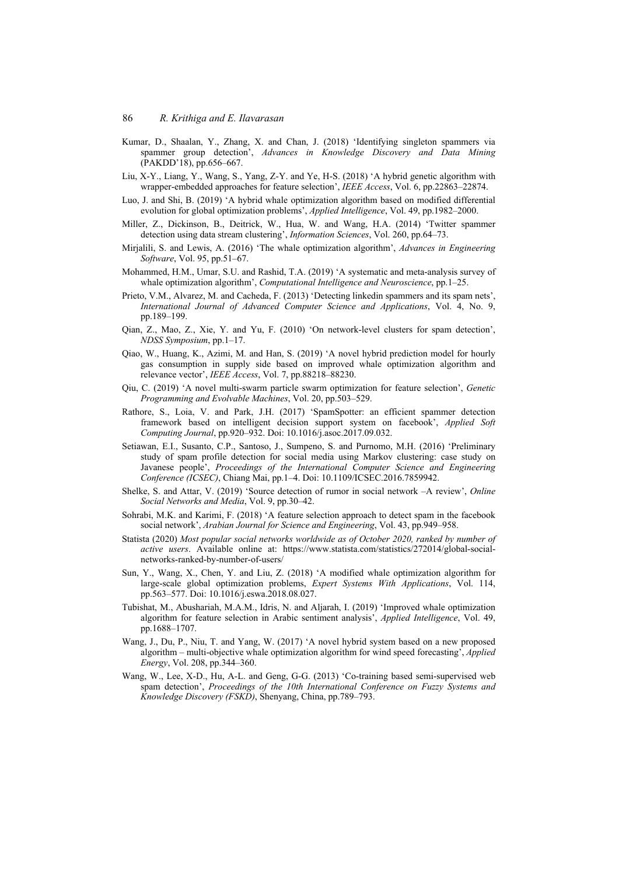- Kumar, D., Shaalan, Y., Zhang, X. and Chan, J. (2018) 'Identifying singleton spammers via spammer group detection', *Advances in Knowledge Discovery and Data Mining* (PAKDD'18), pp.656–667.
- Liu, X-Y., Liang, Y., Wang, S., Yang, Z-Y. and Ye, H-S. (2018) 'A hybrid genetic algorithm with wrapper-embedded approaches for feature selection', *IEEE Access*, Vol. 6, pp.22863–22874.
- Luo, J. and Shi, B. (2019) 'A hybrid whale optimization algorithm based on modified differential evolution for global optimization problems', *Applied Intelligence*, Vol. 49, pp.1982–2000.
- Miller, Z., Dickinson, B., Deitrick, W., Hua, W. and Wang, H.A. (2014) 'Twitter spammer detection using data stream clustering', *Information Sciences*, Vol. 260, pp.64–73.
- Mirjalili, S. and Lewis, A. (2016) 'The whale optimization algorithm', *Advances in Engineering Software*, Vol. 95, pp.51–67.
- Mohammed, H.M., Umar, S.U. and Rashid, T.A. (2019) 'A systematic and meta-analysis survey of whale optimization algorithm', *Computational Intelligence and Neuroscience*, pp.1–25.
- Prieto, V.M., Alvarez, M. and Cacheda, F. (2013) 'Detecting linkedin spammers and its spam nets', *International Journal of Advanced Computer Science and Applications*, Vol. 4, No. 9, pp.189–199.
- Qian, Z., Mao, Z., Xie, Y. and Yu, F. (2010) 'On network-level clusters for spam detection', *NDSS Symposium*, pp.1–17.
- Qiao, W., Huang, K., Azimi, M. and Han, S. (2019) 'A novel hybrid prediction model for hourly gas consumption in supply side based on improved whale optimization algorithm and relevance vector', *IEEE Access*, Vol. 7, pp.88218–88230.
- Qiu, C. (2019) 'A novel multi-swarm particle swarm optimization for feature selection', *Genetic Programming and Evolvable Machines*, Vol. 20, pp.503–529.
- Rathore, S., Loia, V. and Park, J.H. (2017) 'SpamSpotter: an efficient spammer detection framework based on intelligent decision support system on facebook', *Applied Soft Computing Journal*, pp.920–932. Doi: 10.1016/j.asoc.2017.09.032.
- Setiawan, E.I., Susanto, C.P., Santoso, J., Sumpeno, S. and Purnomo, M.H. (2016) 'Preliminary study of spam profile detection for social media using Markov clustering: case study on Javanese people', *Proceedings of the International Computer Science and Engineering Conference (ICSEC)*, Chiang Mai, pp.1–4. Doi: 10.1109/ICSEC.2016.7859942.
- Shelke, S. and Attar, V. (2019) 'Source detection of rumor in social network –A review', *Online Social Networks and Media*, Vol. 9, pp.30–42.
- Sohrabi, M.K. and Karimi, F. (2018) 'A feature selection approach to detect spam in the facebook social network', *Arabian Journal for Science and Engineering*, Vol. 43, pp.949–958.
- Statista (2020) *Most popular social networks worldwide as of October 2020, ranked by number of active users*. Available online at: https://www.statista.com/statistics/272014/global-socialnetworks-ranked-by-number-of-users/
- Sun, Y., Wang, X., Chen, Y. and Liu, Z. (2018) 'A modified whale optimization algorithm for large-scale global optimization problems, *Expert Systems With Applications*, Vol. 114, pp.563–577. Doi: 10.1016/j.eswa.2018.08.027.
- Tubishat, M., Abushariah, M.A.M., Idris, N. and Aljarah, I. (2019) 'Improved whale optimization algorithm for feature selection in Arabic sentiment analysis', *Applied Intelligence*, Vol. 49, pp.1688–1707.
- Wang, J., Du, P., Niu, T. and Yang, W. (2017) 'A novel hybrid system based on a new proposed algorithm – multi-objective whale optimization algorithm for wind speed forecasting', *Applied Energy*, Vol. 208, pp.344–360.
- Wang, W., Lee, X-D., Hu, A-L. and Geng, G-G. (2013) 'Co-training based semi-supervised web spam detection', *Proceedings of the 10th International Conference on Fuzzy Systems and Knowledge Discovery (FSKD)*, Shenyang, China, pp.789–793.